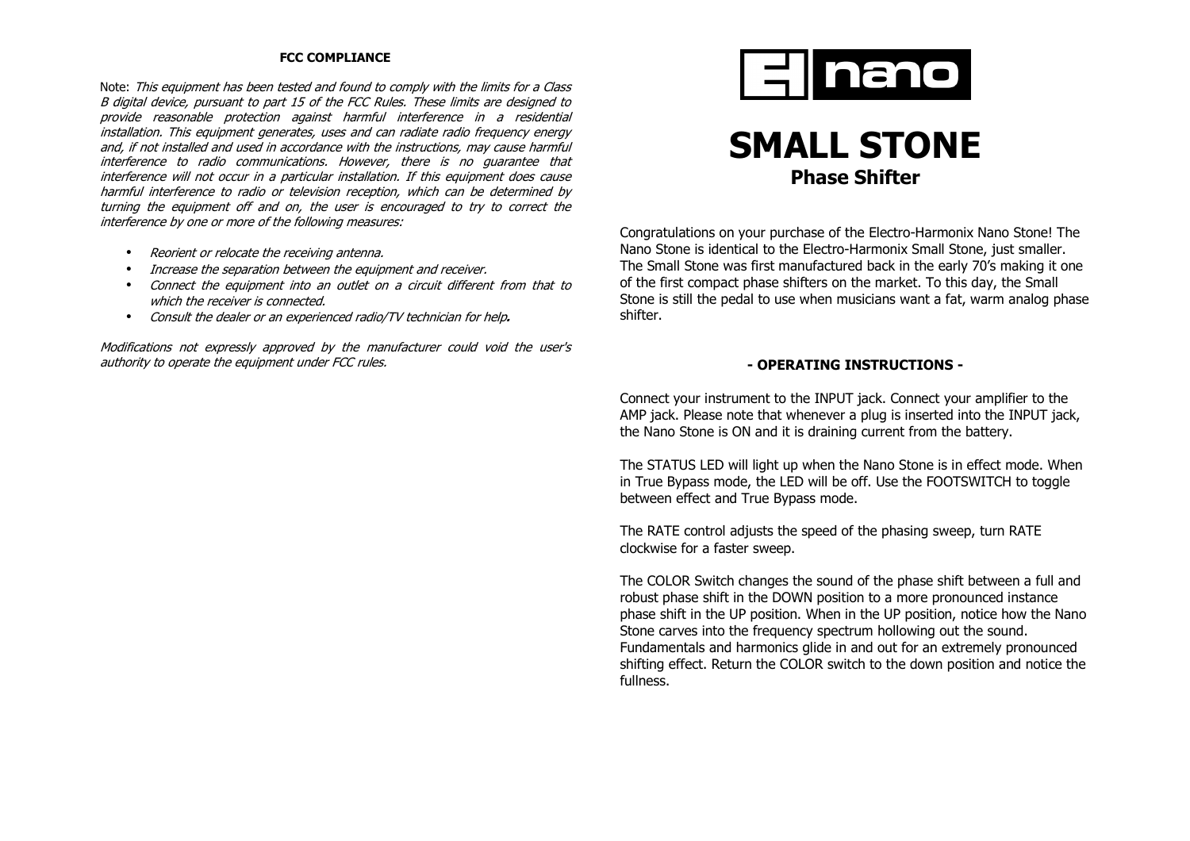## **FCC COMPLIANCE**

Note: This equipment has been tested and found to comply with the limits for a Class B digital device, pursuant to part 15 of the FCC Rules. These limits are designed to provide reasonable protection against harmful interference in a residential installation. This equipment generates, uses and can radiate radio frequency energy and, if not installed and used in accordance with the instructions, may cause harmful interference to radio communications. However, there is no guarantee that interference will not occur in a particular installation. If this equipment does cause harmful interference to radio or television reception, which can be determined by turning the equipment off and on, the user is encouraged to try to correct the interference by one or more of the following measures:

- Reorient or relocate the receiving antenna.
- Increase the separation between the equipment and receiver.
- Connect the equipment into an outlet on a circuit different from that to which the receiver is connected.
- Consult the dealer or an experienced radio/TV technician for help**.**

Modifications not expressly approved by the manufacturer could void the user's authority to operate the equipment under FCC rules.



# **SMALL STONE Phase Shifter**

Congratulations on your purchase of the Electro-Harmonix Nano Stone! The Nano Stone is identical to the Electro-Harmonix Small Stone, just smaller. The Small Stone was first manufactured back in the early 70's making it one of the first compact phase shifters on the market. To this day, the Small Stone is still the pedal to use when musicians want a fat, warm analog phase shifter.

## **- OPERATING INSTRUCTIONS -**

Connect your instrument to the INPUT jack. Connect your amplifier to the AMP jack. Please note that whenever a plug is inserted into the INPUT jack, the Nano Stone is ON and it is draining current from the battery.

The STATUS LED will light up when the Nano Stone is in effect mode. When in True Bypass mode, the LED will be off. Use the FOOTSWITCH to toggle between effect and True Bypass mode.

The RATE control adjusts the speed of the phasing sweep, turn RATE clockwise for a faster sweep.

The COLOR Switch changes the sound of the phase shift between a full and robust phase shift in the DOWN position to a more pronounced instance phase shift in the UP position. When in the UP position, notice how the Nano Stone carves into the frequency spectrum hollowing out the sound. Fundamentals and harmonics glide in and out for an extremely pronounced shifting effect. Return the COLOR switch to the down position and notice the fullness.